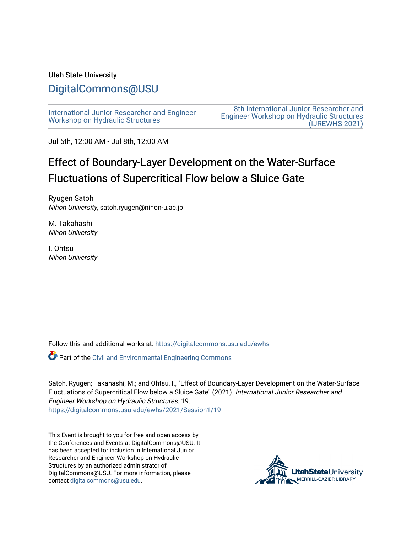#### Utah State University

# [DigitalCommons@USU](https://digitalcommons.usu.edu/)

[International Junior Researcher and Engineer](https://digitalcommons.usu.edu/ewhs) [Workshop on Hydraulic Structures](https://digitalcommons.usu.edu/ewhs)

[8th International Junior Researcher and](https://digitalcommons.usu.edu/ewhs/2021)  [Engineer Workshop on Hydraulic Structures](https://digitalcommons.usu.edu/ewhs/2021)  [\(IJREWHS 2021\)](https://digitalcommons.usu.edu/ewhs/2021) 

Jul 5th, 12:00 AM - Jul 8th, 12:00 AM

# Effect of Boundary-Layer Development on the Water-Surface Fluctuations of Supercritical Flow below a Sluice Gate

Ryugen Satoh Nihon University, satoh.ryugen@nihon-u.ac.jp

M. Takahashi Nihon University

I. Ohtsu Nihon University

Follow this and additional works at: [https://digitalcommons.usu.edu/ewhs](https://digitalcommons.usu.edu/ewhs?utm_source=digitalcommons.usu.edu%2Fewhs%2F2021%2FSession1%2F19&utm_medium=PDF&utm_campaign=PDFCoverPages) 

Part of the [Civil and Environmental Engineering Commons](http://network.bepress.com/hgg/discipline/251?utm_source=digitalcommons.usu.edu%2Fewhs%2F2021%2FSession1%2F19&utm_medium=PDF&utm_campaign=PDFCoverPages)

Satoh, Ryugen; Takahashi, M.; and Ohtsu, I., "Effect of Boundary-Layer Development on the Water-Surface Fluctuations of Supercritical Flow below a Sluice Gate" (2021). International Junior Researcher and Engineer Workshop on Hydraulic Structures. 19. [https://digitalcommons.usu.edu/ewhs/2021/Session1/19](https://digitalcommons.usu.edu/ewhs/2021/Session1/19?utm_source=digitalcommons.usu.edu%2Fewhs%2F2021%2FSession1%2F19&utm_medium=PDF&utm_campaign=PDFCoverPages) 

This Event is brought to you for free and open access by the Conferences and Events at DigitalCommons@USU. It has been accepted for inclusion in International Junior Researcher and Engineer Workshop on Hydraulic Structures by an authorized administrator of DigitalCommons@USU. For more information, please contact [digitalcommons@usu.edu](mailto:digitalcommons@usu.edu).

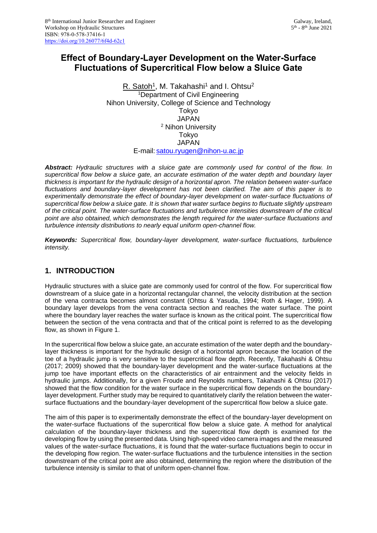# **Effect of Boundary-Layer Development on the Water-Surface Fluctuations of Supercritical Flow below a Sluice Gate**

<u>R. Satoh<sup>1</sup>,</u> M. Takahashi<sup>1</sup> and I. Ohtsu<sup>2</sup> <sup>1</sup>Department of Civil Engineering Nihon University, College of Science and Technology Tokyo JAPAN <sup>2</sup> Nihon University Tokyo **JAPAN** E-mail: [satou.ryugen@nihon-u.ac.jp](mailto:satou.ryugen@nihon-u.ac.jp)

*Abstract: Hydraulic structures with a sluice gate are commonly used for control of the flow. In supercritical flow below a sluice gate, an accurate estimation of the water depth and boundary layer thickness is important for the hydraulic design of a horizontal apron. The relation between water-surface fluctuations and boundary-layer development has not been clarified. The aim of this paper is to experimentally demonstrate the effect of boundary-layer development on water-surface fluctuations of supercritical flow below a sluice gate. It is shown that water surface begins to fluctuate slightly upstream of the critical point. The water-surface fluctuations and turbulence intensities downstream of the critical point are also obtained, which demonstrates the length required for the water-surface fluctuations and turbulence intensity distributions to nearly equal uniform open-channel flow.*

*Keywords: Supercritical flow, boundary-layer development, water-surface fluctuations, turbulence intensity.*

## **1. INTRODUCTION**

Hydraulic structures with a sluice gate are commonly used for control of the flow. For supercritical flow downstream of a sluice gate in a horizontal rectangular channel, the velocity distribution at the section of the vena contracta becomes almost constant (Ohtsu & Yasuda, 1994; Roth & Hager, 1999). A boundary layer develops from the vena contracta section and reaches the water surface. The point where the boundary layer reaches the water surface is known as the critical point. The supercritical flow between the section of the vena contracta and that of the critical point is referred to as the developing flow, as shown in Figure 1.

In the supercritical flow below a sluice gate, an accurate estimation of the water depth and the boundarylayer thickness is important for the hydraulic design of a horizontal apron because the location of the toe of a hydraulic jump is very sensitive to the supercritical flow depth. Recently, Takahashi & Ohtsu (2017; 2009) showed that the boundary-layer development and the water-surface fluctuations at the jump toe have important effects on the characteristics of air entrainment and the velocity fields in hydraulic jumps. Additionally, for a given Froude and Reynolds numbers, Takahashi & Ohtsu (2017) showed that the flow condition for the water surface in the supercritical flow depends on the boundarylayer development. Further study may be required to quantitatively clarify the relation between the watersurface fluctuations and the boundary-layer development of the supercritical flow below a sluice gate.

The aim of this paper is to experimentally demonstrate the effect of the boundary-layer development on the water-surface fluctuations of the supercritical flow below a sluice gate. A method for analytical calculation of the boundary-layer thickness and the supercritical flow depth is examined for the developing flow by using the presented data. Using high-speed video camera images and the measured values of the water-surface fluctuations, it is found that the water-surface fluctuations begin to occur in the developing flow region. The water-surface fluctuations and the turbulence intensities in the section downstream of the critical point are also obtained, determining the region where the distribution of the turbulence intensity is similar to that of uniform open-channel flow.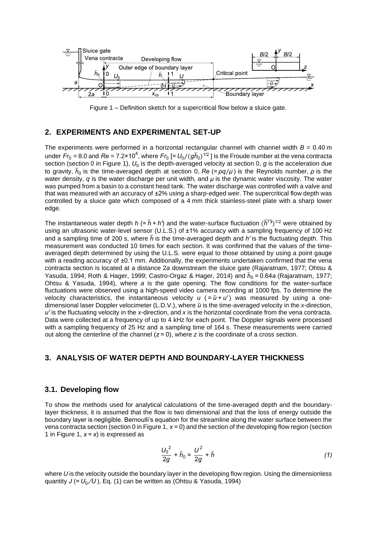

Figure 1 – Definition sketch for a supercritical flow below a sluice gate.

#### **2. EXPERIMENTS AND EXPERIMENTAL SET-UP**

The experiments were performed in a horizontal rectangular channel with channel width  $B = 0.40$  m under  $Fr_0$  = 8.0 and  $Re$  = 7.2×10<sup>4</sup>, where  $Fr_0$  [=  $U_0/(g\bar{h}_0)^{1/2}$  ] is the Froude number at the vena contracta section (section 0 in Figure 1),  $U_0$  is the depth-averaged velocity at section 0,  $g$  is the acceleration due to gravity, *h*̅ 0 is the time-averaged depth at section 0, *Re* (= *ρq*⁄*μ* ) is the Reynolds number, *ρ* is the water density, *q* is the water discharge per unit width, and *μ* is the dynamic water viscosity. The water was pumped from a basin to a constant head tank. The water discharge was controlled with a valve and that was measured with an accuracy of ±2% using a sharp-edged weir. The supercritical flow depth was controlled by a sluice gate which composed of a 4 mm thick stainless-steel plate with a sharp lower edge.

The instantaneous water depth  $h$  (=  $\bar{h}$  + h') and the water-surface fluctuation  $(\overline{h'{}^2})^{1/2}$  were obtained by using an ultrasonic water-level sensor (U.L.S.) of ±1% accuracy with a sampling frequency of 100 Hz and a sampling time of 200 s, where  $\bar{h}$  is the time-averaged depth and h' is the fluctuating depth. This measurement was conducted 10 times for each section. It was confirmed that the values of the timeaveraged depth determined by using the U.L.S. were equal to those obtained by using a point gauge with a reading accuracy of  $\pm 0.1$  mm. Additionally, the experiments undertaken confirmed that the vena contracta section is located at a distance 2*a* downstream the sluice gate (Rajaratnam, 1977; Ohtsu & Yasuda, 1994; Roth & Hager, 1999; Castro-Orgaz & Hager, 2014) and  $\bar{h}_0$  = 0.64*a* (Rajaratnam, 1977; Ohtsu & Yasuda, 1994), where *a* is the gate opening. The flow conditions for the water-surface fluctuations were observed using a high-speed video camera recording at 1000 fps. To determine the velocity characteristics, the instantaneous velocity  $u$  ( $=\bar{u}+u'$ ) was measured by using a onedimensional laser Doppler velocimeter (L.D.V.), where  $\bar{u}$  is the time-averaged velocity in the *x*-direction, *u'* is the fluctuating velocity in the *x*-direction, and *x* is the horizontal coordinate from the vena contracta. Data were collected at a frequency of up to 4 kHz for each point. The Doppler signals were processed with a sampling frequency of 25 Hz and a sampling time of 164 s. These measurements were carried out along the centerline of the channel  $(z = 0)$ , where  $z$  is the coordinate of a cross section.

### **3. ANALYSIS OF WATER DEPTH AND BOUNDARY-LAYER THICKNESS**

#### **3.1. Developing flow**

To show the methods used for analytical calculations of the time-averaged depth and the boundarylayer thickness, it is assumed that the flow is two dimensional and that the loss of energy outside the boundary layer is negligible. Bernoulli's equation for the streamline along the water surface between the vena contracta section (section 0 in Figure 1, *x* = 0) and the section of the developing flow region (section 1 in Figure 1, *x* = *x*) is expressed as

$$
\frac{U_0^2}{2g} + \bar{h}_0 = \frac{U^2}{2g} + \bar{h}
$$
 (1)

where *U* is the velocity outside the boundary layer in the developing flow region. Using the dimensionless quantity  $J (= U_0/U)$ , Eq. (1) can be written as (Ohtsu & Yasuda, 1994)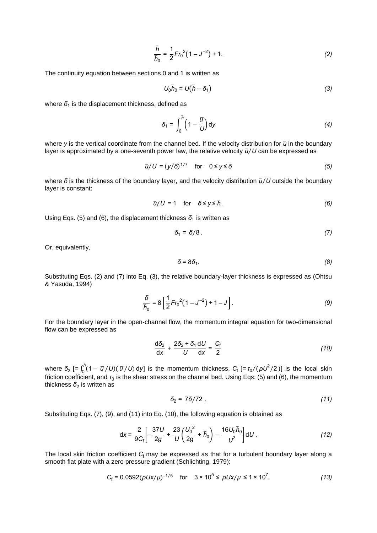$$
\frac{\bar{h}}{\bar{h}_0} = \frac{1}{2} Fr_0^2 (1 - J^{-2}) + 1.
$$
 (2)

The continuity equation between sections 0 and 1 is written as

$$
U_0 \bar{h}_0 = U(\bar{h} - \delta_1) \tag{3}
$$

where  $\delta_1$  is the displacement thickness, defined as

$$
\delta_1 = \int_0^{\overline{h}} \left(1 - \frac{\overline{u}}{U}\right) dy \tag{4}
$$

where *y* is the vertical coordinate from the channel bed. If the velocity distribution for  $\bar{u}$  in the boundary layer is approximated by a one-seventh power law, the relative velocity  $\bar{u}/U$  can be expressed as

$$
\bar{u}/U = (y/\delta)^{1/7} \quad \text{for} \quad 0 \le y \le \delta \tag{5}
$$

where δ is the thickness of the boundary layer, and the velocity distribution  $\bar{u}/U$  outside the boundary layer is constant:

$$
\bar{u}/U = 1 \quad \text{for} \quad \delta \le y \le \bar{h} \,. \tag{6}
$$

Using Eqs. (5) and (6), the displacement thickness *δ*<sub>1</sub> is written as

$$
\delta_1 = \delta/8 \tag{7}
$$

Or, equivalently,

$$
\delta = 8\delta_1. \tag{8}
$$

Substituting Eqs. (2) and (7) into Eq. (3), the relative boundary-layer thickness is expressed as (Ohtsu & Yasuda, 1994)

$$
\frac{\delta}{\bar{h}_0} = 8 \left[ \frac{1}{2} Fr_0^2 (1 - J^{-2}) + 1 - J \right].
$$
 (9)

For the boundary layer in the open-channel flow, the momentum integral equation for two-dimensional flow can be expressed as

$$
\frac{d\delta_2}{dx} + \frac{2\delta_2 + \delta_1}{U} \frac{dU}{dx} = \frac{C_f}{2}
$$
 (10)

where  $\delta_2$  [=  $\int_0^{\bar{h}} (1 - \bar{u}^2/U) (\bar{u}^2/U)$  $\int_0^b (1 - \frac{a}{b}) \cdot (1 - \frac{a}{b}) \cdot (1 - \frac{a}{c})$  is the momentum thickness,  $C_f$  [=  $\frac{a}{b}$  /( $\rho U^2$ /2)] is the local skin friction coefficient, and  $\tau_0$  is the shear stress on the channel bed. Using Eqs. (5) and (6), the momentum thickness  $\delta_2$  is written as

$$
\delta_2 = 7\delta/72 \tag{11}
$$

Substituting Eqs. (7), (9), and (11) into Eq. (10), the following equation is obtained as

$$
dx = \frac{2}{9C_f} \left[ -\frac{37U}{2g} + \frac{23}{U} \left( \frac{U_0^2}{2g} + \bar{h}_0 \right) - \frac{16U_0 \bar{h}_0}{U^2} \right] dU.
$$
 (12)

The local skin friction coefficient C<sub>f</sub> may be expressed as that for a turbulent boundary layer along a smooth flat plate with a zero pressure gradient (Schlichting, 1979):

$$
C_{\rm f} = 0.0592(\rho U x/\mu)^{-1/5} \quad \text{for} \quad 3 \times 10^5 \le \rho U x/\mu \le 1 \times 10^7. \tag{13}
$$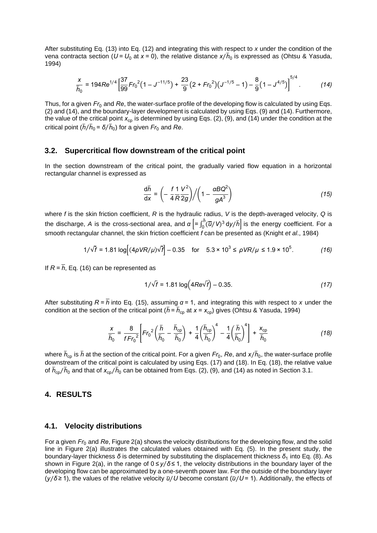After substituting Eq. (13) into Eq. (12) and integrating this with respect to *x* under the condition of the vena contracta section ( $U$  =  $U_0$  at  $x$  = 0), the relative distance  $x/\bar{h}_0$  is expressed as (Ohtsu & Yasuda, 1994)

$$
\frac{x}{\overline{h}_0} = 194 Re^{1/4} \left[ \frac{37}{99} Fr_0^2 (1 - J^{-11/5}) + \frac{23}{9} (2 + Fr_0^2) (J^{-1/5} - 1) - \frac{8}{9} (1 - J^{4/5}) \right]^{5/4}.
$$
 (14)

Thus, for a given  $Fr_0$  and Re, the water-surface profile of the developing flow is calculated by using Eqs. (2) and (14), and the boundary-layer development is calculated by using Eqs. (9) and (14). Furthermore, the value of the critical point  $x_{cp}$  is determined by using Eqs. (2), (9), and (14) under the condition at the critical point ( $\bar{h}/\bar{h}_0$  =  $\bar{\delta}/\bar{h}_0$ ) for a given  $Fr_0$  and  $Re$ .

#### **3.2. Supercritical flow downstream of the critical point**

In the section downstream of the critical point, the gradually varied flow equation in a horizontal rectangular channel is expressed as

$$
\frac{d\overline{h}}{dx} = \left(-\frac{f}{4}\frac{1}{R}\frac{V^2}{2g}\right) / \left(1 - \frac{\alpha BQ^2}{gA^3}\right)
$$
(15)

where *f* is the skin friction coefficient, *R* is the hydraulic radius, *V* is the depth-averaged velocity, *Q* is the discharge, *A* is the cross-sectional area, and  $\alpha \left[ = \int_0^{\bar{R}} (\overline{u}/\sqrt{2})^3 \right]$  $\int_0^{\eta} (\overline{u}/V)^3 \, \textup{d}y/\bar{h}$  is the energy coefficient. For a smooth rectangular channel, the skin friction coefficient *f* can be presented as (Knight *et al*., 1984)

$$
1/\sqrt{f} = 1.81 \log[(4\rho V R/\mu)\sqrt{f}] - 0.35 \quad \text{for} \quad 5.3 \times 10^3 \le \rho V R/\mu \le 1.9 \times 10^5. \tag{16}
$$

If  $R = \overline{h}$ , Eq. (16) can be represented as

$$
1/\sqrt{f} = 1.81 \log(4Re\sqrt{f}) - 0.35.
$$
 (17)

After substituting  $R = \overline{h}$  into Eq. (15), assuming  $\alpha = 1$ , and integrating this with respect to *x* under the condition at the section of the critical point ( $\bar{h}$  =  $\bar{h}_{\rm cp}$  at *x* = *x*<sub>cp</sub>) gives (Ohtsu & Yasuda, 1994)

$$
\frac{x}{\overline{h}_0} = \frac{8}{fFr_0^2} \left[ Fr_0^2 \left( \frac{\overline{h}}{\overline{h}_0} - \frac{\overline{h}_{cp}}{\overline{h}_0} \right) + \frac{1}{4} \left( \frac{\overline{h}_{cp}}{\overline{h}_0} \right)^4 - \frac{1}{4} \left( \frac{\overline{h}}{\overline{h}_0} \right)^4 \right] + \frac{x_{cp}}{\overline{h}_0}
$$
(18)

where  $\bar{h}_{\rm cp}$  is  $\bar{h}$  at the section of the critical point. For a given  $Fr_0$ ,  $R$ e, and  $x/\bar{h}_0$ , the water-surface profile downstream of the critical point is calculated by using Eqs. (17) and (18). In Eq. (18), the relative value of  $\bar{h}_{\rm cp}/\bar{h}_0$  and that of  $x_{\rm cp}/\bar{h}_0$  can be obtained from Eqs. (2), (9), and (14) as noted in Section 3.1.

#### **4. RESULTS**

#### **4.1. Velocity distributions**

For a given *Fr*<sup>0</sup> and *Re*, Figure 2(a) shows the velocity distributions for the developing flow, and the solid line in Figure 2(a) illustrates the calculated values obtained with Eq. (5). In the present study, the boundary-layer thickness *δ* is determined by substituting the displacement thickness  $\delta_1$  into Eq. (8). As shown in Figure 2(a), in the range of  $0 ≤ y / δ ≤ 1$ , the velocity distributions in the boundary layer of the developing flow can be approximated by a one-seventh power law. For the outside of the boundary layer  $(y/\delta \ge 1)$ , the values of the relative velocity  $\bar{u}/U$  become constant ( $\bar{u}/U$  = 1). Additionally, the effects of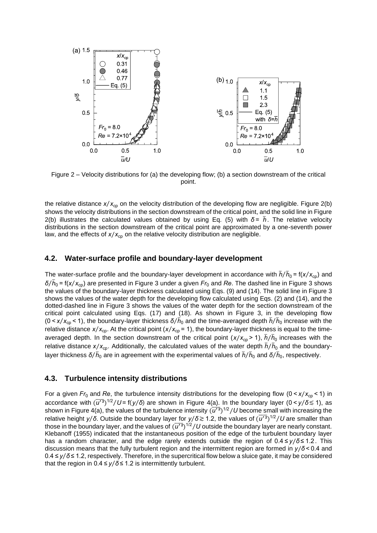

Figure 2 – Velocity distributions for (a) the developing flow; (b) a section downstream of the critical point.

the relative distance  $x/x_{cp}$  on the velocity distribution of the developing flow are negligible. Figure  $2(b)$ shows the velocity distributions in the section downstream of the critical point, and the solid line in Figure 2(b) illustrates the calculated values obtained by using Eq. (5) with  $\delta = \bar{h}$ . The relative velocity distributions in the section downstream of the critical point are approximated by a one-seventh power law, and the effects of  $x/x_{\rm cp}$  on the relative velocity distribution are negligible.

#### **4.2. Water-surface profile and boundary-layer development**

The water-surface profile and the boundary-layer development in accordance with  $\bar{h}/\bar{h}_0$  = f( $x/x_{cp}$ ) and  $\delta/\bar{h}_0$  = f(*x*/*x*<sub>cp</sub>) are presented in Figure 3 under a given *Fr*<sub>0</sub> and *Re*. The dashed line in Figure 3 shows the values of the boundary-layer thickness calculated using Eqs. (9) and (14). The solid line in Figure 3 shows the values of the water depth for the developing flow calculated using Eqs. (2) and (14), and the dotted-dashed line in Figure 3 shows the values of the water depth for the section downstream of the critical point calculated using Eqs. (17) and (18). As shown in Figure 3, in the developing flow (0 < *x*⁄*x*cp < 1), the boundary-layer thickness *δ h*̅ ⁄ <sup>0</sup> and the time-averaged depth *h*̅ *h*̅ ⁄ <sup>0</sup> increase with the relative distance  $x/x_{cp}$ . At the critical point  $(x/x_{cp} = 1)$ , the boundary-layer thickness is equal to the timeaveraged depth. In the section downstream of the critical point (x/x<sub>cp</sub> > 1),  $\bar{h}/\bar{h}_0$  increases with the relative distance  $x/x_{cp}$ . Additionally, the calculated values of the water depth  $\bar{h}/\bar{h}_0$  and the boundarylayer thickness  $\bar{\delta}/\bar{h}_0$  are in agreement with the experimental values of  $\bar{h}/\bar{h}_0$  and  $\bar{\delta}/\bar{h}_0$ , respectively.

#### **4.3. Turbulence intensity distributions**

For a given  $Fr_0$  and  $Re$ , the turbulence intensity distributions for the developing flow (0 <  $x/x_{cp}$  < 1) in accordance with ( $\overline{u'^2}$ )<sup>1/2</sup>/*U* = f(*y*/δ) are shown in Figure 4(a). In the boundary layer (0 < *y*/δ ≲ 1), as shown in Figure 4(a), the values of the turbulence intensity  $(\overline{u'^{\,2}})^{1/2}/U$  become small with increasing the relative height *y/δ*. Outside the boundary layer for *y/δ* ≥ 1.2, the values of  $(\overline{u'^2})^{1/2}/U$  are smaller than those in the boundary layer, and the values of  $(\overline{u'^2})^{1/2}/U$  outside the boundary layer are nearly constant. Klebanoff (1955) indicated that the instantaneous position of the edge of the turbulent boundary layer has a random character, and the edge rarely extends outside the region of 0.4 ≤ *y*⁄*δ* ≤ 1.2 . This discussion means that the fully turbulent region and the intermittent region are formed in *y*⁄*δ* < 0.4 and 0.4 ≤ *y*⁄*δ* ≤ 1.2, respectively. Therefore, in the supercritical flow below a sluice gate, it may be considered that the region in  $0.4 \le y/\delta \le 1.2$  is intermittently turbulent.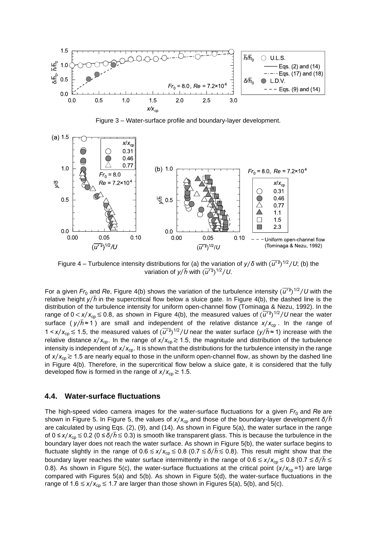

Figure 3 – Water-surface profile and boundary-layer development.



Figure 4 – Turbulence intensity distributions for (a) the variation of  $y/\delta$  with  $(\overline{u'^2})^{1/2}/U$ ; (b) the variation of  $y/\bar{h}$  with  $(\overline{u'^2})^{1/2}/U$ .

For a given  $Fr_0$  and Re, Figure 4(b) shows the variation of the turbulence intensity  $(\overline{u'^2})^{1/2}/U$  with the relative height  $y/\bar{h}$  in the supercritical flow below a sluice gate. In Figure 4(b), the dashed line is the distribution of the turbulence intensity for uniform open-channel flow (Tominaga & Nezu, 1992). In the range of  $0 < x/x_{cp} \le 0.8$ , as shown in Figure 4(b), the measured values of  $(\overline{u'^2})^{1/2}/U$  near the water surface ( $y/\bar{h}$   $\approx$  1) are small and independent of the relative distance  $x/x_{cp}$ . In the range of 1 < *x*/*x*<sub>cp</sub> ≤ 1.5, the measured values of  $(\overline{u'}^2)^{1/2}/U$  near the water surface (*y*/ $\overline{h}$  ≈ 1) increase with the relative distance  $x/x_{cp}$ . In the range of  $x/x_{cp} \ge 1.5$ , the magnitude and distribution of the turbulence intensity is independent of  $x/x_{cp}$ . It is shown that the distributions for the turbulence intensity in the range of  $x/x_{\text{co}} \gtrsim 1.5$  are nearly equal to those in the uniform open-channel flow, as shown by the dashed line in Figure 4(b). Therefore, in the supercritical flow below a sluice gate, it is considered that the fully developed flow is formed in the range of  $x/x_{\text{cn}} \ge 1.5$ .

#### **4.4. Water-surface fluctuations**

The high-speed video camera images for the water-surface fluctuations for a given  $Fr_0$  and Re are shown in Figure 5. In Figure 5, the values of *x*⁄*x*cp and those of the boundary-layer development *δ*⁄*h*̅ are calculated by using Eqs. (2), (9), and (14). As shown in Figure 5(a), the water surface in the range of 0 ≤ *x*/*x*<sub>cp</sub> ≤ 0.2 (0 ≤ *δ*/*h* ≤ 0.3) is smooth like transparent glass. This is because the turbulence in the boundary layer does not reach the water surface. As shown in Figure 5(b), the water surface begins to fluctuate slightly in the range of 0.6 ≤*x*/*x*<sub>cp</sub> ≤ 0.8 (0.7 ≤ *δ*/*h* ≤ 0.8). This result might show that the boundary layer reaches the water surface intermittently in the range of 0.6 ≲*x*⁄*x*cp≲ 0.8 (0.7 ≲*δ*⁄*h*̅ ≲ 0.8). As shown in Figure 5(c), the water-surface fluctuations at the critical point  $(x/x_{\text{cn}}=1)$  are large compared with Figures 5(a) and 5(b). As shown in Figure 5(d), the water-surface fluctuations in the range of 1.6 ≤  $x/x_{cp}$  ≤ 1.7 are larger than those shown in Figures 5(a), 5(b), and 5(c).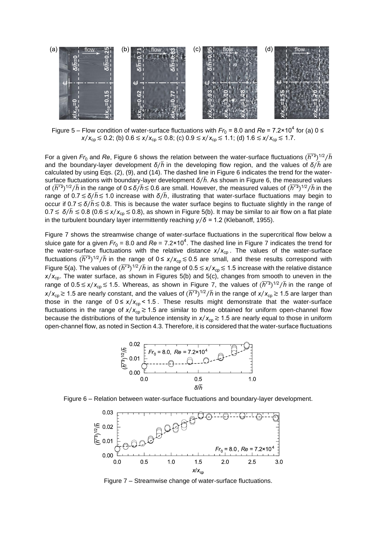

Figure 5 – Flow condition of water-surface fluctuations with  $Fr_0$  = 8.0 and  $Re$  = 7.2×10<sup>4</sup> for (a) 0 ≤ *x*/*x*<sub>cp</sub> ≤ 0.2; (b) 0.6 ≤ *x*/*x*<sub>cp</sub> ≤ 0.8; (c) 0.9 ≤ *x*/*x*<sub>cp</sub> ≤ 1.1; (d) 1.6 ≤ *x*/*x*<sub>cp</sub> ≤ 1.7.

For a given  $Fr_0$  and Re, Figure 6 shows the relation between the water-surface fluctuations  $(\overline{h^{r_2}})^{1/2}/\overline{h}$ and the boundary-layer development *δ*⁄*h*̅ in the developing flow region, and the values of *δ*⁄*h*̅ are calculated by using Eqs. (2), (9), and (14). The dashed line in Figure 6 indicates the trend for the watersurface fluctuations with boundary-layer development  $\delta/\bar{h}$ . As shown in Figure 6, the measured values of ( $\overline{h'^2}$ )<sup>1/2</sup>/*h* in the range of 0 ≤ δ/ $\overline{h}$  ≲ 0.6 are small. However, the measured values of ( $\overline{h'^2}$ )<sup>1/2</sup>/*h* in the range of 0.7≲*δ*⁄*h*̅ ≲1.0 increase with *δ*⁄*h*̅ , illustrating that water-surface fluctuations may begin to occur if 0.7≲*δ*⁄*h*̅ ≲0.8. This is because the water surface begins to fluctuate slightly in the range of 0.7≲ *δ*⁄*h*̅ ≲0.8 (0.6≲*x*⁄*x*cp≲0.8), as shown in Figure 5(b). It may be similar to air flow on a flat plate in the turbulent boundary layer intermittently reaching  $y/\delta$  = 1.2 (Klebanoff, 1955).

Figure 7 shows the streamwise change of water-surface fluctuations in the supercritical flow below a sluice gate for a given  $Fr_0$  = 8.0 and  $Re$  = 7.2×10<sup>4</sup>. The dashed line in Figure 7 indicates the trend for the water-surface fluctuations with the relative distance  $x/x_{cp}$ . The values of the water-surface fluctuations  $(\overline{h'^2})^{1/2}/\overline{h}$  in the range of  $0 \le x/x_{cp} \le 0.5$  are small, and these results correspond with Figure 5(a). The values of  $(\overline{h'^2})^{1/2}/\overline{h}$  in the range of 0.5  $\leq x/x_{cp} \leq 1.5$  increase with the relative distance *x*/*x*<sub>cp</sub>. The water surface, as shown in Figures 5(b) and 5(c), changes from smooth to uneven in the range of 0.5 ≲ *x/x*<sub>cp</sub> ≲ 1.5. Whereas, as shown in Figure 7, the values of  $(\overline{h'}^2)^{1/2}/\overline{h}$  in the range of *x*/*x*<sub>cp</sub> ≳ 1.5 are nearly constant, and the values of  $(\overline{h'2})^{1/2}/\overline{h}$  in the range of *x*/*x*<sub>cp</sub> ≳ 1.5 are larger than those in the range of  $0 \le x/x_{cp} < 1.5$ . These results might demonstrate that the water-surface fluctuations in the range of  $x/x_{cp} \ge 1.5$  are similar to those obtained for uniform open-channel flow because the distributions of the turbulence intensity in  $x/x_{cp} \ge 1.5$  are nearly equal to those in uniform open-channel flow, as noted in Section 4.3. Therefore, it is considered that the water-surface fluctuations







Figure 7 – Streamwise change of water-surface fluctuations.